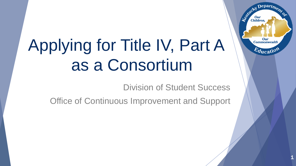# Applying for Title IV, Part A as a Consortium

Division of Student Success

Office of Continuous Improvement and Support



1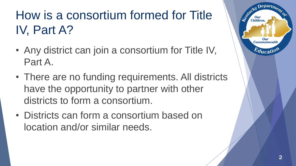### How is a consortium formed for Title IV, Part A?

- Any district can join a consortium for Title IV, Part A.
- There are no funding requirements. All districts have the opportunity to partner with other districts to form a consortium.
- Districts can form a consortium based on location and/or similar needs.

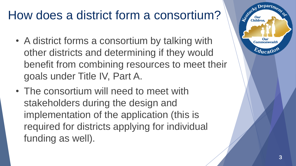### How does a district form a consortium?

- A district forms a consortium by talking with other districts and determining if they would benefit from combining resources to meet their goals under Title IV, Part A.
- The consortium will need to meet with stakeholders during the design and implementation of the application (this is required for districts applying for individual funding as well).

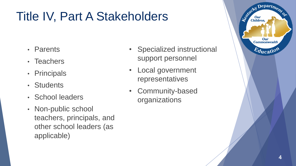### Title IV, Part A Stakeholders

- Parents
- Teachers
- Principals
- Students
- School leaders
- Non-public school teachers, principals, and other school leaders (as applicable)
- Specialized instructional support personnel
- Local government representatives
- Community-based organizations

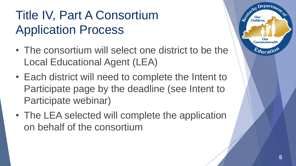### Title IV, Part A Consortium Application Process

- The consortium will select one district to be the Local Educational Agent (LEA)
- Each district will need to complete the Intent to Participate page by the deadline (see Intent to Participate webinar)
- The LEA selected will complete the application on behalf of the consortium

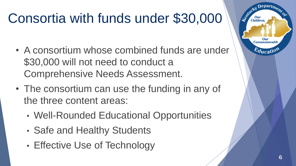# Consortia with funds under \$30,000

- A consortium whose combined funds are under \$30,000 will not need to conduct a Comprehensive Needs Assessment.
- The consortium can use the funding in any of the three content areas:
	- Well-Rounded Educational Opportunities
	- Safe and Healthy Students
	- Effective Use of Technology

**Children** 

**Commonwealtl**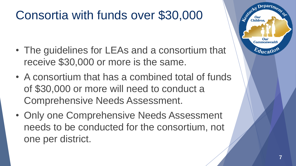### Consortia with funds over \$30,000

- The guidelines for LEAs and a consortium that receive \$30,000 or more is the same.
- A consortium that has a combined total of funds of \$30,000 or more will need to conduct a Comprehensive Needs Assessment.
- Only one Comprehensive Needs Assessment needs to be conducted for the consortium, not one per district.

**Children** 

Our **Commonwealtl**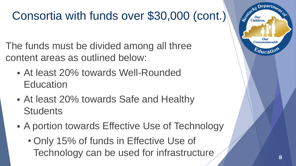### Consortia with funds over \$30,000 (cont.)

The funds must be divided among all three content areas as outlined below:

- At least 20% towards Well-Rounded **Education**
- At least 20% towards Safe and Healthy **Students**
- A portion towards Effective Use of Technology
	- Only 15% of funds in Effective Use of Technology can be used for infrastructure

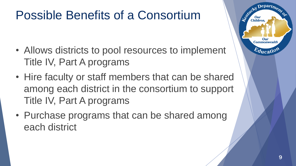### Possible Benefits of a Consortium

- Allows districts to pool resources to implement Title IV, Part A programs
- Hire faculty or staff members that can be shared among each district in the consortium to support Title IV, Part A programs
- Purchase programs that can be shared among each district

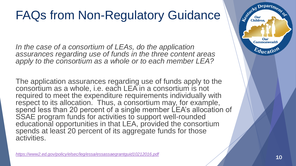### FAQs from Non-Regulatory Guidance

In the case of a consortium of LEAs, do the application *assurances regarding use of funds in the three content areas apply to the consortium as a whole or to each member LEA?* 

The application assurances regarding use of funds apply to the consortium as a whole, i.e. each LEA in a consortium is not required to meet the expenditure requirements individually with respect to its allocation. Thus, a consortium may, for example, spend less than 20 percent of a single member LEA's allocation of SSAE program funds for activities to support well-rounded educational opportunities in that LEA, provided the consortium spends at least 20 percent of its aggregate funds for those activities.

P<https://www2.ed.gov/policy/elsec/leg/essa/essassaegrantguid10212016.pdf><br>10

Depart<sub>m</sub>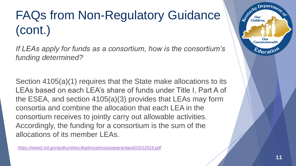## FAQs from Non-Regulatory Guidance (cont.)

*If LEAs apply for funds as a consortium, how is the consortium's funding determined?* 

Section 4105(a)(1) requires that the State make allocations to its LEAs based on each LEA's share of funds under Title I, Part A of the ESEA, and section 4105(a)(3) provides that LEAs may form consortia and combine the allocation that each LEA in the consortium receives to jointly carry out allowable activities. Accordingly, the funding for a consortium is the sum of the allocations of its member LEAs.

*<https://www2.ed.gov/policy/elsec/leg/essa/essassaegrantguid10212016.pdf>*

Legitucky

**Children** 

Our **Commonwealth** 

*ducat*